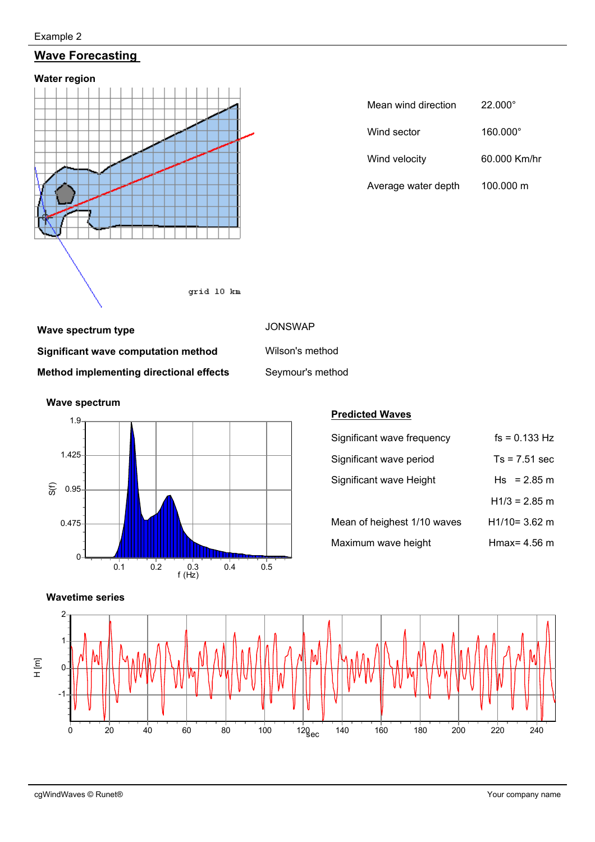#### Example 2

## **Wave Forecasting**



| Mean wind direction | $22.000^{\circ}$ |  |  |  |
|---------------------|------------------|--|--|--|
| Wind sector         | 160.000°         |  |  |  |
| Wind velocity       | 60.000 Km/hr     |  |  |  |
| Average water depth | 100,000 m        |  |  |  |

# **Wave spectrum type JONSWAP Significant wave computation method** Wilson's method **Method implementing directional effects** Seymour's method



#### **Predicted Waves**

| Significant wave frequency  | $fs = 0.133 Hz$ |
|-----------------------------|-----------------|
| Significant wave period     | $Ts = 7.51$ sec |
| Significant wave Height     | $Hs = 2.85 m$   |
|                             | $H1/3 = 2.85$ m |
| Mean of heighest 1/10 waves | $H1/10=3.62$ m  |
| Maximum wave height         | Hmax= $4.56$ m  |